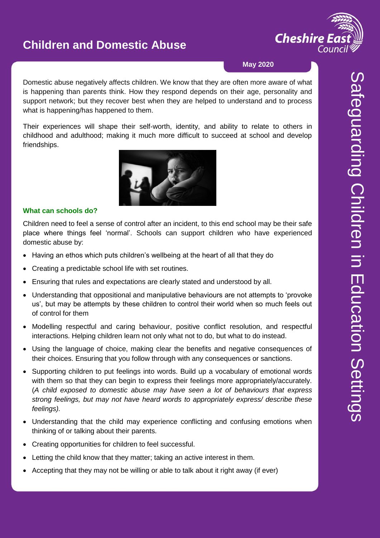

#### **May 2020**

Domestic abuse negatively affects children. We know that they are often more aware of what is happening than parents think. How they respond depends on their age, personality and support network; but they recover best when they are helped to understand and to process what is happening/has happened to them.

Their experiences will shape their self-worth, identity, and ability to relate to others in childhood and adulthood; making it much more difficult to succeed at school and develop friendships.



#### **What can schools do?**

Children need to feel a sense of control after an incident, to this end school may be their safe place where things feel 'normal'. Schools can support children who have experienced domestic abuse by:

- Having an ethos which puts children's wellbeing at the heart of all that they do
- Creating a predictable school life with set routines.
- Ensuring that rules and expectations are clearly stated and understood by all.
- Understanding that oppositional and manipulative behaviours are not attempts to 'provoke us', but may be attempts by these children to control their world when so much feels out of control for them
- Modelling respectful and caring behaviour, positive conflict resolution, and respectful interactions. Helping children learn not only what not to do, but what to do instead.
- Using the language of choice, making clear the benefits and negative consequences of their choices. Ensuring that you follow through with any consequences or sanctions.
- Supporting children to put feelings into words. Build up a vocabulary of emotional words with them so that they can begin to express their feelings more appropriately/accurately. (*A child exposed to domestic abuse may have seen a lot of behaviours that express strong feelings, but may not have heard words to appropriately express/ describe these feelings).*
- Understanding that the child may experience conflicting and confusing emotions when thinking of or talking about their parents.
- Creating opportunities for children to feel successful.
- Letting the child know that they matter; taking an active interest in them.
- Accepting that they may not be willing or able to talk about it right away (if ever)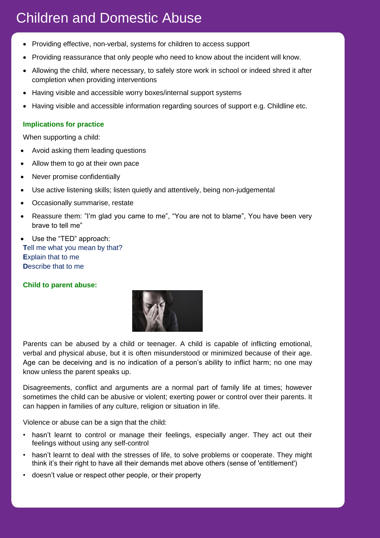- Providing effective, non-verbal, systems for children to access support
- Providing reassurance that only people who need to know about the incident will know.
- Allowing the child, where necessary, to safely store work in school or indeed shred it after completion when providing interventions
- Having visible and accessible worry boxes/internal support systems
- Having visible and accessible information regarding sources of support e.g. Childline etc.

### **Implications for practice**

When supporting a child:

- Avoid asking them leading questions
- Allow them to go at their own pace
- Never promise confidentially
- Use active listening skills; listen quietly and attentively, being non-judgemental
- Occasionally summarise, restate
- Reassure them: "I'm glad you came to me", "You are not to blame", You have been very brave to tell me"
- Use the "TED" approach: **T**ell me what you mean by that? **E**xplain that to me **D**escribe that to me

### **Child to parent abuse:**



Parents can be abused by a child or teenager. A child is capable of inflicting emotional, verbal and physical abuse, but it is often misunderstood or minimized because of their age. Age can be deceiving and is no indication of a person's ability to inflict harm; no one may know unless the parent speaks up.

Disagreements, conflict and arguments are a normal part of family life at times; however sometimes the child can be abusive or violent; exerting power or control over their parents. It can happen in families of any culture, religion or situation in life.

Violence or abuse can be a sign that the child:

- hasn't learnt to control or manage their feelings, especially anger. They act out their feelings without using any self-control
- hasn't learnt to deal with the stresses of life, to solve problems or cooperate. They might think it's their right to have all their demands met above others (sense of 'entitlement')
- doesn't value or respect other people, or their property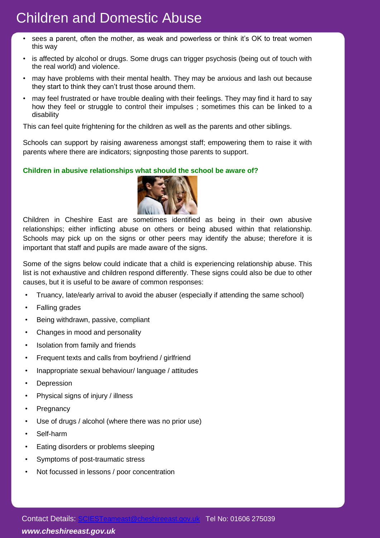- sees a parent, often the mother, as weak and powerless or think it's OK to treat women this way
- is affected by alcohol or drugs. Some drugs can trigger psychosis (being out of touch with the real world) and violence.
- may have problems with their mental health. They may be anxious and lash out because they start to think they can't trust those around them.
- may feel frustrated or have trouble dealing with their feelings. They may find it hard to say how they feel or struggle to control their impulses ; sometimes this can be linked to a disability

This can feel quite frightening for the children as well as the parents and other siblings.

Schools can support by raising awareness amongst staff; empowering them to raise it with parents where there are indicators; signposting those parents to support.

#### **Children in abusive relationships what should the school be aware of?**



Children in Cheshire East are sometimes identified as being in their own abusive relationships; either inflicting abuse on others or being abused within that relationship. Schools may pick up on the signs or other peers may identify the abuse; therefore it is important that staff and pupils are made aware of the signs.

Some of the signs below could indicate that a child is experiencing relationship abuse. This list is not exhaustive and children respond differently. These signs could also be due to other causes, but it is useful to be aware of common responses:

- Truancy, late/early arrival to avoid the abuser (especially if attending the same school)
- Falling grades
- Being withdrawn, passive, compliant
- Changes in mood and personality
- Isolation from family and friends
- Frequent texts and calls from boyfriend / girlfriend
- Inappropriate sexual behaviour/ language / attitudes
- **Depression**
- Physical signs of injury / illness
- **Pregnancy**
- Use of drugs / alcohol (where there was no prior use)
- Self-harm
- Eating disorders or problems sleeping
- Symptoms of post-traumatic stress
- Not focussed in lessons / poor concentration